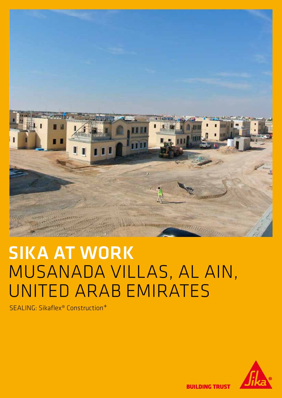

# SIKA AT WORK MUSANADA VILLAS, AL AIN, UNITED ARAB EMIRATES

SEALING: Sikaflex® Construction+



**BUILDING TRUST**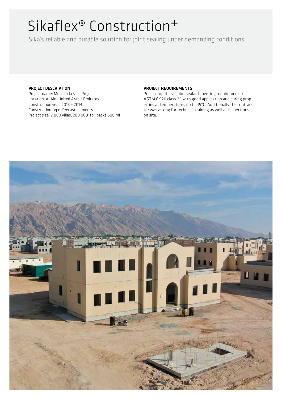## Sikaflex® Construction+

Sika's reliable and durable solution for joint sealing under demanding conditions

#### PROJECT DESCRIPTION

Project name: Musanada Villa Project Location: Al Ain, United Arabic Emirates Construction year: 2013 – 2014 Construction type: Precast elements Project size: 2'000 villas, 200'000 foil packs 600 ml

#### PROJECT REQUIREMENTS

Price competitive joint sealant meeting requirements of ASTM C 920 class 35 with good application and curing properties at temperatures up to 45°C. Additionally the contractor was asking for technical training as well as inspections on site.

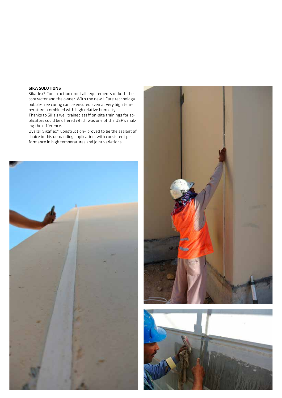#### SIKA SOLUTIONS

Sikaflex® Construction+ met all requirements of both the contractor and the owner. With the new i-Cure technology bubble-free curing can be ensured even at very high temperatures combined with high relative humidity.

Thanks to Sika's well trained staff on-site trainings for applicators could be offered which was one of the USP's making the difference.

Overall Sikaflex® Construction+ proved to be the sealant of choice in this demanding application, with consistent performance in high temperatures and joint variations.